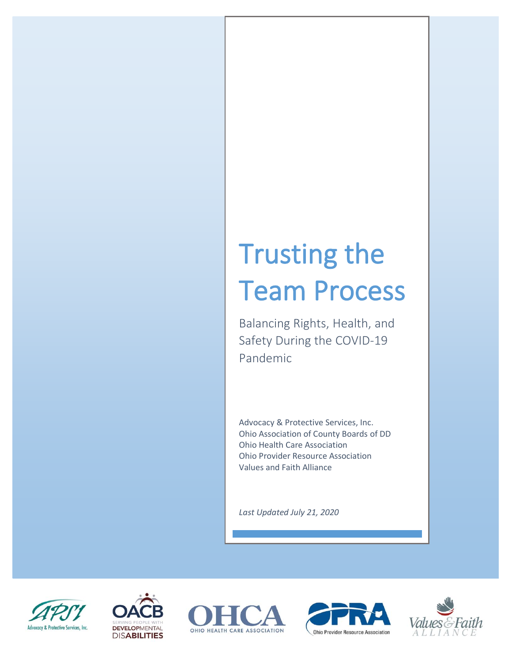# Trusting the Team Process

Balancing Rights, Health, and Safety During the COVID-19 Pandemic

Advocacy & Protective Services, Inc. Ohio Association of County Boards of DD Ohio Health Care Association Ohio Provider Resource Association Values and Faith Alliance

*Last Updated July 21, 2020*









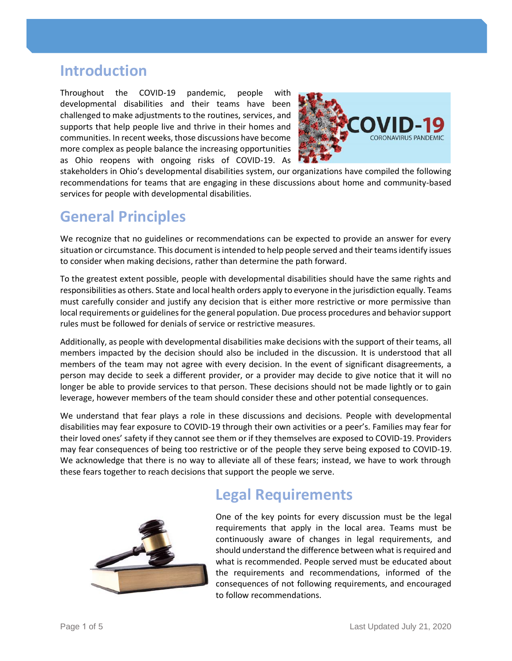#### **Introduction**

Throughout the COVID-19 pandemic, people with developmental disabilities and their teams have been challenged to make adjustments to the routines, services, and supports that help people live and thrive in their homes and communities. In recent weeks, those discussions have become more complex as people balance the increasing opportunities as Ohio reopens with ongoing risks of COVID-19. As



stakeholders in Ohio's developmental disabilities system, our organizations have compiled the following recommendations for teams that are engaging in these discussions about home and community-based services for people with developmental disabilities.

## **General Principles**

We recognize that no guidelines or recommendations can be expected to provide an answer for every situation or circumstance. This document is intended to help people served and their teams identify issues to consider when making decisions, rather than determine the path forward.

To the greatest extent possible, people with developmental disabilities should have the same rights and responsibilities as others. State and local health orders apply to everyone in the jurisdiction equally. Teams must carefully consider and justify any decision that is either more restrictive or more permissive than local requirements or guidelines for the general population. Due process procedures and behavior support rules must be followed for denials of service or restrictive measures.

Additionally, as people with developmental disabilities make decisions with the support of their teams, all members impacted by the decision should also be included in the discussion. It is understood that all members of the team may not agree with every decision. In the event of significant disagreements, a person may decide to seek a different provider, or a provider may decide to give notice that it will no longer be able to provide services to that person. These decisions should not be made lightly or to gain leverage, however members of the team should consider these and other potential consequences.

We understand that fear plays a role in these discussions and decisions. People with developmental disabilities may fear exposure to COVID-19 through their own activities or a peer's. Families may fear for their loved ones' safety if they cannot see them or if they themselves are exposed to COVID-19. Providers may fear consequences of being too restrictive or of the people they serve being exposed to COVID-19. We acknowledge that there is no way to alleviate all of these fears; instead, we have to work through these fears together to reach decisions that support the people we serve.



## **Legal Requirements**

One of the key points for every discussion must be the legal requirements that apply in the local area. Teams must be continuously aware of changes in legal requirements, and should understand the difference between what is required and what is recommended. People served must be educated about the requirements and recommendations, informed of the consequences of not following requirements, and encouraged to follow recommendations.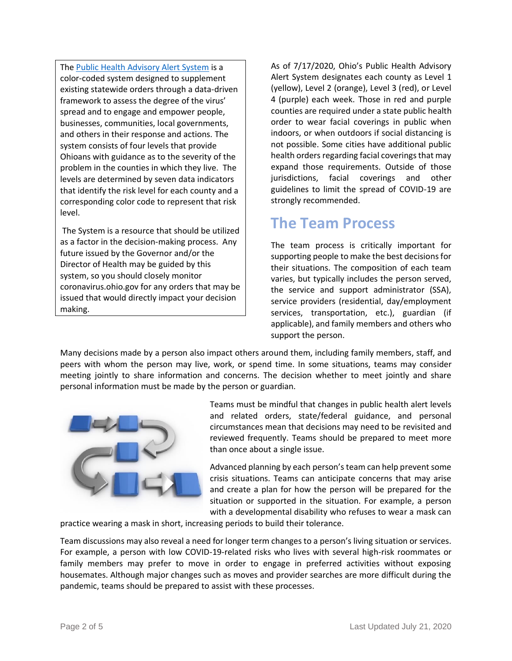The [Public Health Advisory Alert System](https://coronavirus.ohio.gov/wps/portal/gov/covid-19/public-health-advisory-system/) is a color-coded system designed to supplement existing statewide orders through a data-driven framework to assess the degree of the virus' spread and to engage and empower people, businesses, communities, local governments, and others in their response and actions. The system consists of four levels that provide Ohioans with guidance as to the severity of the problem in the counties in which they live. The levels are determined by seven data indicators that identify the risk level for each county and a corresponding color code to represent that risk level.

The System is a resource that should be utilized as a factor in the decision-making process. Any future issued by the Governor and/or the Director of Health may be guided by this system, so you should closely monitor coronavirus.ohio.gov for any orders that may be issued that would directly impact your decision making.

As of 7/17/2020, Ohio's Public Health Advisory Alert System designates each county as Level 1 (yellow), Level 2 (orange), Level 3 (red), or Level 4 (purple) each week. Those in red and purple counties are required under a state public health order to wear facial coverings in public when indoors, or when outdoors if social distancing is not possible. Some cities have additional public health orders regarding facial coverings that may expand those requirements. Outside of those jurisdictions, facial coverings and other guidelines to limit the spread of COVID-19 are strongly recommended.

## **The Team Process**

The team process is critically important for supporting people to make the best decisions for their situations. The composition of each team varies, but typically includes the person served, the service and support administrator (SSA), service providers (residential, day/employment services, transportation, etc.), guardian (if applicable), and family members and others who support the person.

Many decisions made by a person also impact others around them, including family members, staff, and peers with whom the person may live, work, or spend time. In some situations, teams may consider meeting jointly to share information and concerns. The decision whether to meet jointly and share personal information must be made by the person or guardian.



Teams must be mindful that changes in public health alert levels and related orders, state/federal guidance, and personal circumstances mean that decisions may need to be revisited and reviewed frequently. Teams should be prepared to meet more than once about a single issue.

Advanced planning by each person's team can help prevent some crisis situations. Teams can anticipate concerns that may arise and create a plan for how the person will be prepared for the situation or supported in the situation. For example, a person with a developmental disability who refuses to wear a mask can

practice wearing a mask in short, increasing periods to build their tolerance.

Team discussions may also reveal a need for longer term changes to a person's living situation or services. For example, a person with low COVID-19-related risks who lives with several high-risk roommates or family members may prefer to move in order to engage in preferred activities without exposing housemates. Although major changes such as moves and provider searches are more difficult during the pandemic, teams should be prepared to assist with these processes.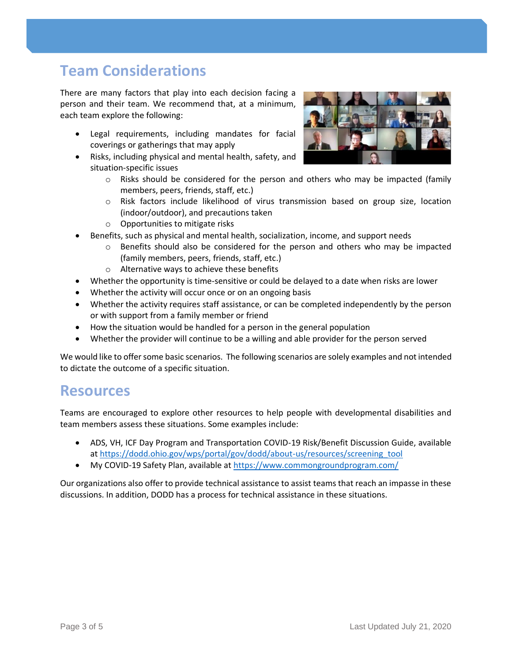## **Team Considerations**

There are many factors that play into each decision facing a person and their team. We recommend that, at a minimum, each team explore the following:

- Legal requirements, including mandates for facial coverings or gatherings that may apply
- Risks, including physical and mental health, safety, and situation-specific issues



- $\circ$  Risks should be considered for the person and others who may be impacted (family members, peers, friends, staff, etc.)
- o Risk factors include likelihood of virus transmission based on group size, location (indoor/outdoor), and precautions taken
- o Opportunities to mitigate risks
- Benefits, such as physical and mental health, socialization, income, and support needs
	- o Benefits should also be considered for the person and others who may be impacted (family members, peers, friends, staff, etc.)
	- o Alternative ways to achieve these benefits
- Whether the opportunity is time-sensitive or could be delayed to a date when risks are lower
- Whether the activity will occur once or on an ongoing basis
- Whether the activity requires staff assistance, or can be completed independently by the person or with support from a family member or friend
- How the situation would be handled for a person in the general population
- Whether the provider will continue to be a willing and able provider for the person served

We would like to offer some basic scenarios.The following scenarios are solely examples and not intended to dictate the outcome of a specific situation.

#### **Resources**

Teams are encouraged to explore other resources to help people with developmental disabilities and team members assess these situations. Some examples include:

- ADS, VH, ICF Day Program and Transportation COVID-19 Risk/Benefit Discussion Guide, available a[t https://dodd.ohio.gov/wps/portal/gov/dodd/about-us/resources/screening\\_tool](https://dodd.ohio.gov/wps/portal/gov/dodd/about-us/resources/screening_tool)
- My COVID-19 Safety Plan, available at<https://www.commongroundprogram.com/>

Our organizations also offer to provide technical assistance to assist teams that reach an impasse in these discussions. In addition, DODD has a process for technical assistance in these situations.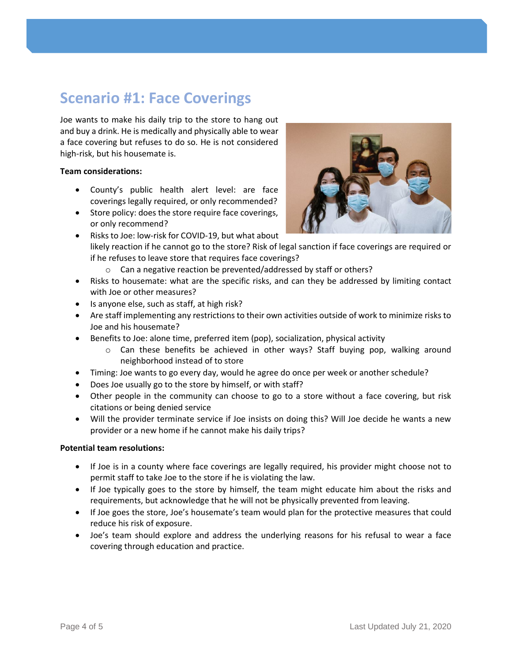## **Scenario #1: Face Coverings**

Joe wants to make his daily trip to the store to hang out and buy a drink. He is medically and physically able to wear a face covering but refuses to do so. He is not considered high-risk, but his housemate is.

#### **Team considerations:**

- County's public health alert level: are face coverings legally required, or only recommended?
- Store policy: does the store require face coverings, or only recommend?
- Risks to Joe: low-risk for COVID-19, but what about likely reaction if he cannot go to the store? Risk of legal sanction if face coverings are required or if he refuses to leave store that requires face coverings?
	- o Can a negative reaction be prevented/addressed by staff or others?
- Risks to housemate: what are the specific risks, and can they be addressed by limiting contact with Joe or other measures?
- Is anyone else, such as staff, at high risk?
- Are staff implementing any restrictions to their own activities outside of work to minimize risks to Joe and his housemate?
- Benefits to Joe: alone time, preferred item (pop), socialization, physical activity
	- o Can these benefits be achieved in other ways? Staff buying pop, walking around neighborhood instead of to store
- Timing: Joe wants to go every day, would he agree do once per week or another schedule?
- Does Joe usually go to the store by himself, or with staff?
- Other people in the community can choose to go to a store without a face covering, but risk citations or being denied service
- Will the provider terminate service if Joe insists on doing this? Will Joe decide he wants a new provider or a new home if he cannot make his daily trips?

#### **Potential team resolutions:**

- If Joe is in a county where face coverings are legally required, his provider might choose not to permit staff to take Joe to the store if he is violating the law.
- If Joe typically goes to the store by himself, the team might educate him about the risks and requirements, but acknowledge that he will not be physically prevented from leaving.
- If Joe goes the store, Joe's housemate's team would plan for the protective measures that could reduce his risk of exposure.
- Joe's team should explore and address the underlying reasons for his refusal to wear a face covering through education and practice.